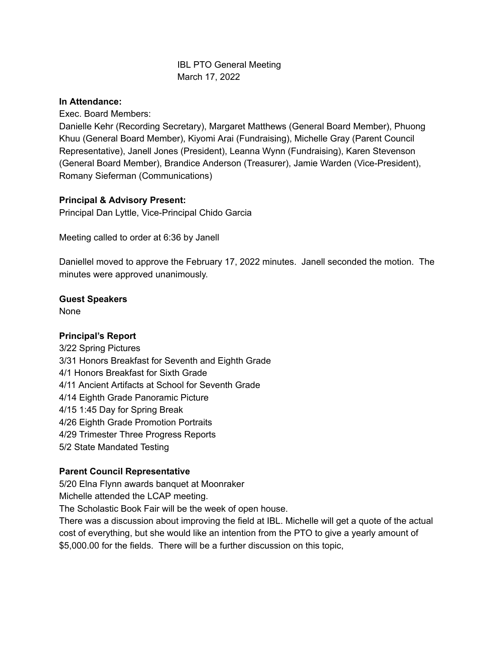# IBL PTO General Meeting March 17, 2022

### **In Attendance:**

Exec. Board Members:

Danielle Kehr (Recording Secretary), Margaret Matthews (General Board Member), Phuong Khuu (General Board Member), Kiyomi Arai (Fundraising), Michelle Gray (Parent Council Representative), Janell Jones (President), Leanna Wynn (Fundraising), Karen Stevenson (General Board Member), Brandice Anderson (Treasurer), Jamie Warden (Vice-President), Romany Sieferman (Communications)

# **Principal & Advisory Present:**

Principal Dan Lyttle, Vice-Principal Chido Garcia

Meeting called to order at 6:36 by Janell

Daniellel moved to approve the February 17, 2022 minutes. Janell seconded the motion. The minutes were approved unanimously.

## **Guest Speakers**

None

## **Principal's Report**

3/22 Spring Pictures 3/31 Honors Breakfast for Seventh and Eighth Grade 4/1 Honors Breakfast for Sixth Grade 4/11 Ancient Artifacts at School for Seventh Grade 4/14 Eighth Grade Panoramic Picture 4/15 1:45 Day for Spring Break 4/26 Eighth Grade Promotion Portraits 4/29 Trimester Three Progress Reports 5/2 State Mandated Testing

## **Parent Council Representative**

5/20 Elna Flynn awards banquet at Moonraker

Michelle attended the LCAP meeting.

The Scholastic Book Fair will be the week of open house.

There was a discussion about improving the field at IBL. Michelle will get a quote of the actual cost of everything, but she would like an intention from the PTO to give a yearly amount of \$5,000.00 for the fields. There will be a further discussion on this topic,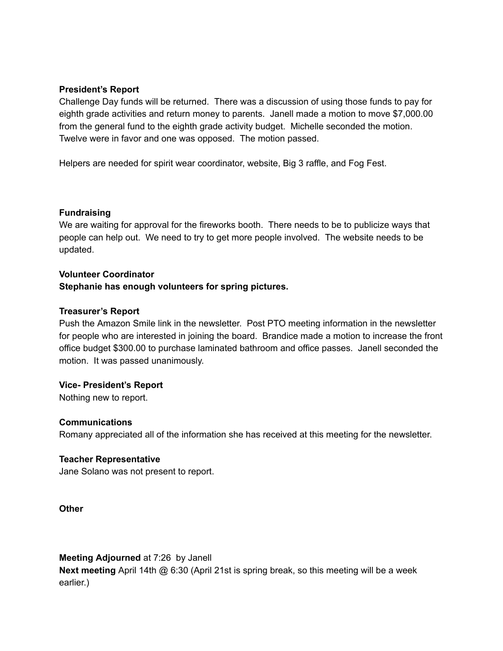### **President's Report**

Challenge Day funds will be returned. There was a discussion of using those funds to pay for eighth grade activities and return money to parents. Janell made a motion to move \$7,000.00 from the general fund to the eighth grade activity budget. Michelle seconded the motion. Twelve were in favor and one was opposed. The motion passed.

Helpers are needed for spirit wear coordinator, website, Big 3 raffle, and Fog Fest.

### **Fundraising**

We are waiting for approval for the fireworks booth. There needs to be to publicize ways that people can help out. We need to try to get more people involved. The website needs to be updated.

#### **Volunteer Coordinator**

## **Stephanie has enough volunteers for spring pictures.**

### **Treasurer's Report**

Push the Amazon Smile link in the newsletter. Post PTO meeting information in the newsletter for people who are interested in joining the board. Brandice made a motion to increase the front office budget \$300.00 to purchase laminated bathroom and office passes. Janell seconded the motion. It was passed unanimously.

## **Vice- President's Report**

Nothing new to report.

#### **Communications**

Romany appreciated all of the information she has received at this meeting for the newsletter.

## **Teacher Representative**

Jane Solano was not present to report.

**Other**

#### **Meeting Adjourned** at 7:26 by Janell

**Next meeting** April 14th @ 6:30 (April 21st is spring break, so this meeting will be a week earlier.)